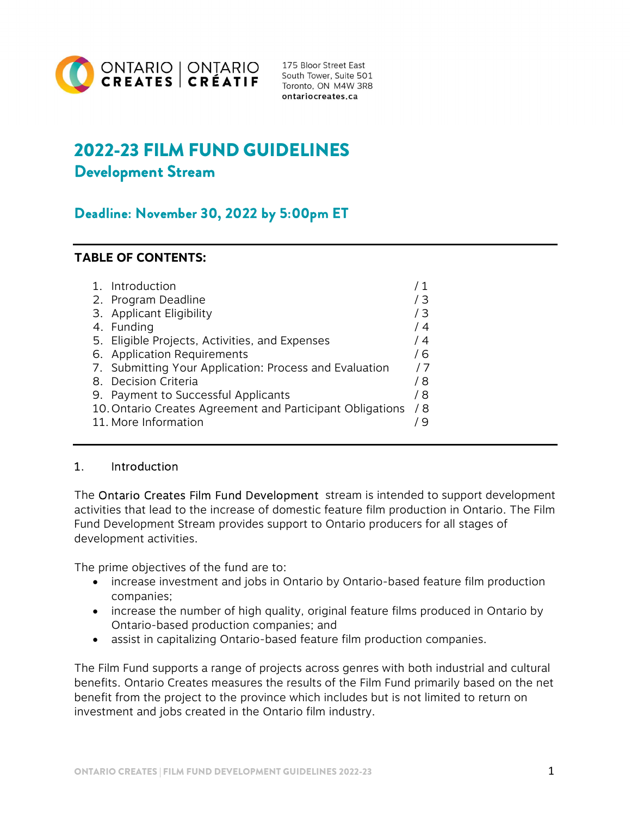

175 Bloor Street East South Tower, Suite 501 Toronto, ON M4W 3R8 ontariocreates.ca

# 2022-23 FILM FUND GUIDELINES Development Stream

## Deadline: November 30, 2022 by 5:00pm ET

## TABLE OF CONTENTS:

| $1_{-}$ | Introduction                                              |     |
|---------|-----------------------------------------------------------|-----|
|         | 2. Program Deadline                                       | 73  |
| 3.      | Applicant Eligibility                                     | /3  |
|         | 4. Funding                                                | 74  |
|         | 5. Eligible Projects, Activities, and Expenses            | 14  |
|         | 6. Application Requirements                               | / 6 |
|         | 7. Submitting Your Application: Process and Evaluation    | /7  |
| 8.      | Decision Criteria                                         | / 8 |
| 9.      | Payment to Successful Applicants                          | / 8 |
|         | 10. Ontario Creates Agreement and Participant Obligations | / 8 |
|         | 11. More Information                                      |     |
|         |                                                           |     |

#### 1. Introduction

The Ontario Creates Film Fund Development stream is intended to support development activities that lead to the increase of domestic feature film production in Ontario. The Film Fund Development Stream provides support to Ontario producers for all stages of development activities.

The prime objectives of the fund are to:

- increase investment and jobs in Ontario by Ontario-based feature film production companies;
- increase the number of high quality, original feature films produced in Ontario by Ontario-based production companies; and
- assist in capitalizing Ontario-based feature film production companies.

The Film Fund supports a range of projects across genres with both industrial and cultural benefits. Ontario Creates measures the results of the Film Fund primarily based on the net benefit from the project to the province which includes but is not limited to return on investment and jobs created in the Ontario film industry.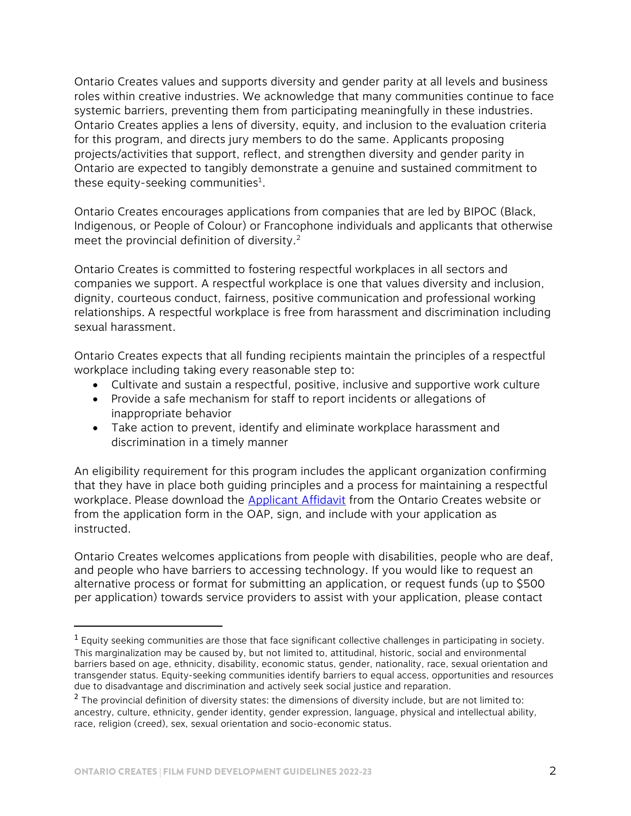Ontario Creates values and supports diversity and gender parity at all levels and business roles within creative industries. We acknowledge that many communities continue to face systemic barriers, preventing them from participating meaningfully in these industries. Ontario Creates applies a lens of diversity, equity, and inclusion to the evaluation criteria for this program, and directs jury members to do the same. Applicants proposing projects/activities that support, reflect, and strengthen diversity and gender parity in Ontario are expected to tangibly demonstrate a genuine and sustained commitment to these equity-seeking communities<sup>1</sup>.

Ontario Creates encourages applications from companies that are led by BIPOC (Black, Indigenous, or People of Colour) or Francophone individuals and applicants that otherwise meet the provincial definition of diversity.<sup>2</sup>

Ontario Creates is committed to fostering respectful workplaces in all sectors and companies we support. A respectful workplace is one that values diversity and inclusion, dignity, courteous conduct, fairness, positive communication and professional working relationships. A respectful workplace is free from harassment and discrimination including sexual harassment.

Ontario Creates expects that all funding recipients maintain the principles of a respectful workplace including taking every reasonable step to:

- Cultivate and sustain a respectful, positive, inclusive and supportive work culture
- Provide a safe mechanism for staff to report incidents or allegations of inappropriate behavior
- Take action to prevent, identify and eliminate workplace harassment and discrimination in a timely manner

An eligibility requirement for this program includes the applicant organization confirming that they have in place both guiding principles and a process for maintaining a respectful workplace. Please download the [Applicant Affidavit f](https://ontariocreates.ca/uploads/Industry_Initiatives/ENG/Business-Initiatives/Respectful-Workplace-Affidavit-EN.pdf)rom the Ontario Creates website or from the application form in the OAP, sign, and include with your application as instructed.

Ontario Creates welcomes applications from people with disabilities, people who are deaf, and people who have barriers to accessing technology. If you would like to request an alternative process or format for submitting an application, or request funds (up to \$500 per application) towards service providers to assist with your application, please contact

l

 $1$  Equity seeking communities are those that face significant collective challenges in participating in society. This marginalization may be caused by, but not limited to, attitudinal, historic, social and environmental barriers based on age, ethnicity, disability, economic status, gender, nationality, race, sexual orientation and transgender status. Equity-seeking communities identify barriers to equal access, opportunities and resources due to disadvantage and discrimination and actively seek social justice and reparation.

<sup>&</sup>lt;sup>2</sup> The provincial definition of diversity states: the dimensions of diversity include, but are not limited to: ancestry, culture, ethnicity, gender identity, gender expression, language, physical and intellectual ability, race, religion (creed), sex, sexual orientation and socio-economic status.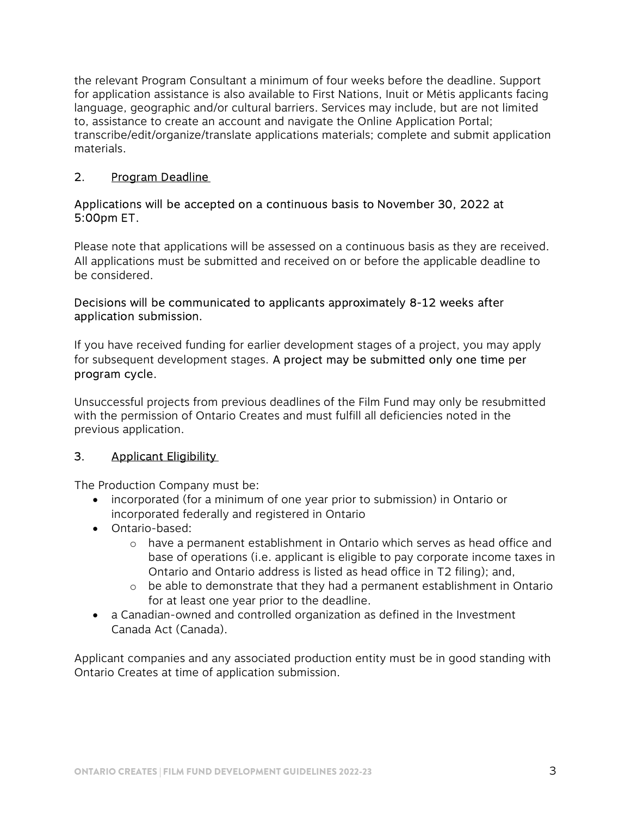the relevant Program Consultant a minimum of four weeks before the deadline. Support for application assistance is also available to First Nations, Inuit or Métis applicants facing language, geographic and/or cultural barriers. Services may include, but are not limited to, assistance to create an account and navigate the Online Application Portal; transcribe/edit/organize/translate applications materials; complete and submit application materials.

## 2. Program Deadline

#### Applications will be accepted on a continuous basis to November 30, 2022 at 5:00pm ET.

Please note that applications will be assessed on a continuous basis as they are received. All applications must be submitted and received on or before the applicable deadline to be considered.

#### Decisions will be communicated to applicants approximately 8-12 weeks after application submission.

If you have received funding for earlier development stages of a project, you may apply for subsequent development stages. A project may be submitted only one time per program cycle.

Unsuccessful projects from previous deadlines of the Film Fund may only be resubmitted with the permission of Ontario Creates and must fulfill all deficiencies noted in the previous application.

## 3. Applicant Eligibility

The Production Company must be:

- incorporated (for a minimum of one year prior to submission) in Ontario or incorporated federally and registered in Ontario
- Ontario-based:
	- $\circ$  have a permanent establishment in Ontario which serves as head office and base of operations (i.e. applicant is eligible to pay corporate income taxes in Ontario and Ontario address is listed as head office in T2 filing); and,
	- $\circ$  be able to demonstrate that they had a permanent establishment in Ontario for at least one year prior to the deadline.
- a Canadian-owned and controlled organization as defined in the Investment Canada Act (Canada).

Applicant companies and any associated production entity must be in good standing with Ontario Creates at time of application submission.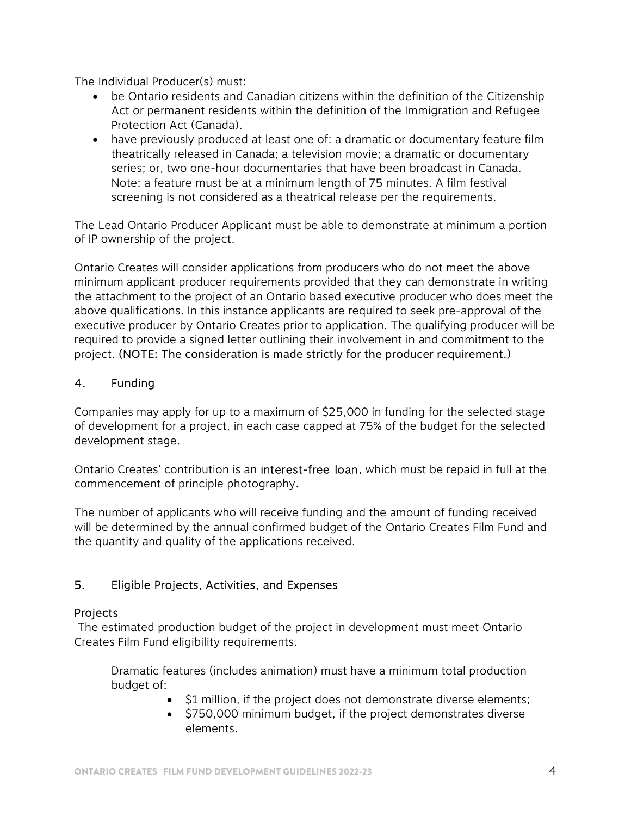The Individual Producer(s) must:

- be Ontario residents and Canadian citizens within the definition of the Citizenship Act or permanent residents within the definition of the Immigration and Refugee Protection Act (Canada).
- have previously produced at least one of: a dramatic or documentary feature film theatrically released in Canada; a television movie; a dramatic or documentary series; or, two one-hour documentaries that have been broadcast in Canada. Note: a feature must be at a minimum length of 75 minutes. A film festival screening is not considered as a theatrical release per the requirements.

The Lead Ontario Producer Applicant must be able to demonstrate at minimum a portion of IP ownership of the project.

Ontario Creates will consider applications from producers who do not meet the above minimum applicant producer requirements provided that they can demonstrate in writing the attachment to the project of an Ontario based executive producer who does meet the above qualifications. In this instance applicants are required to seek pre-approval of the executive producer by Ontario Creates prior to application. The qualifying producer will be required to provide a signed letter outlining their involvement in and commitment to the project. (NOTE: The consideration is made strictly for the producer requirement.)

## 4. Funding

Companies may apply for up to a maximum of \$25,000 in funding for the selected stage of development for a project, in each case capped at 75% of the budget for the selected development stage.

Ontario Creates' contribution is an interest-free loan, which must be repaid in full at the commencement of principle photography.

The number of applicants who will receive funding and the amount of funding received will be determined by the annual confirmed budget of the Ontario Creates Film Fund and the quantity and quality of the applications received.

## 5. Eligible Projects, Activities, and Expenses

## Projects

 The estimated production budget of the project in development must meet Ontario Creates Film Fund eligibility requirements.

 Dramatic features (includes animation) must have a minimum total production budget of:

- S1 million, if the project does not demonstrate diverse elements;
- \$750,000 minimum budget, if the project demonstrates diverse elements.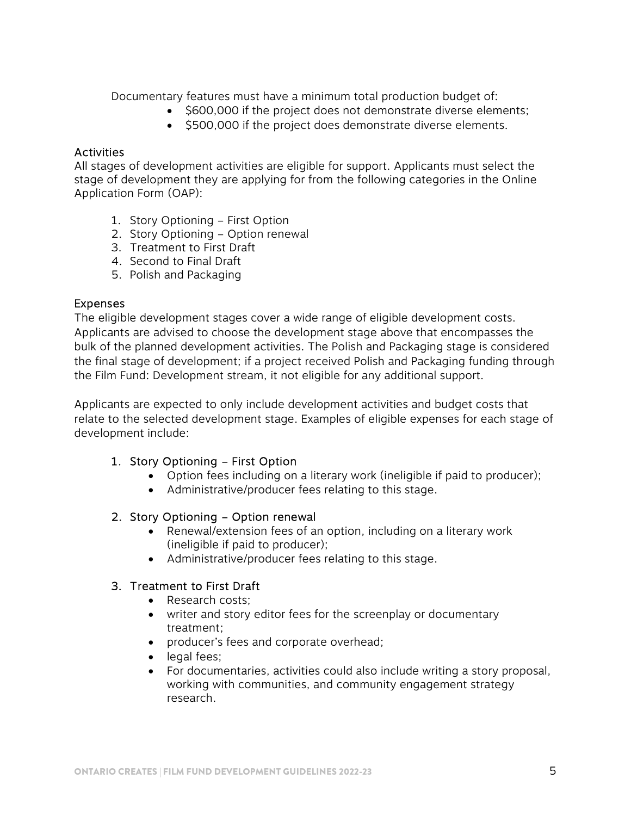Documentary features must have a minimum total production budget of:

- $\bullet$  \$600,000 if the project does not demonstrate diverse elements;
- $\bullet$  \$500,000 if the project does demonstrate diverse elements.

#### **Activities**

All stages of development activities are eligible for support. Applicants must select the stage of development they are applying for from the following categories in the Online Application Form (OAP):

- 1. Story Optioning First Option
- 2. Story Optioning Option renewal
- 3. Treatment to First Draft
- 4. Second to Final Draft
- 5. Polish and Packaging

#### Expenses

The eligible development stages cover a wide range of eligible development costs. Applicants are advised to choose the development stage above that encompasses the bulk of the planned development activities. The Polish and Packaging stage is considered the final stage of development; if a project received Polish and Packaging funding through the Film Fund: Development stream, it not eligible for any additional support.

Applicants are expected to only include development activities and budget costs that relate to the selected development stage. Examples of eligible expenses for each stage of development include:

#### 1. Story Optioning – First Option

- Option fees including on a literary work (ineligible if paid to producer);
- Administrative/producer fees relating to this stage.

#### 2. Story Optioning – Option renewal

- Renewal/extension fees of an option, including on a literary work (ineligible if paid to producer);
- Administrative/producer fees relating to this stage.

#### 3. Treatment to First Draft

- Research costs:
- writer and story editor fees for the screenplay or documentary treatment;
- producer's fees and corporate overhead;
- legal fees;
- For documentaries, activities could also include writing a story proposal, working with communities, and community engagement strategy research.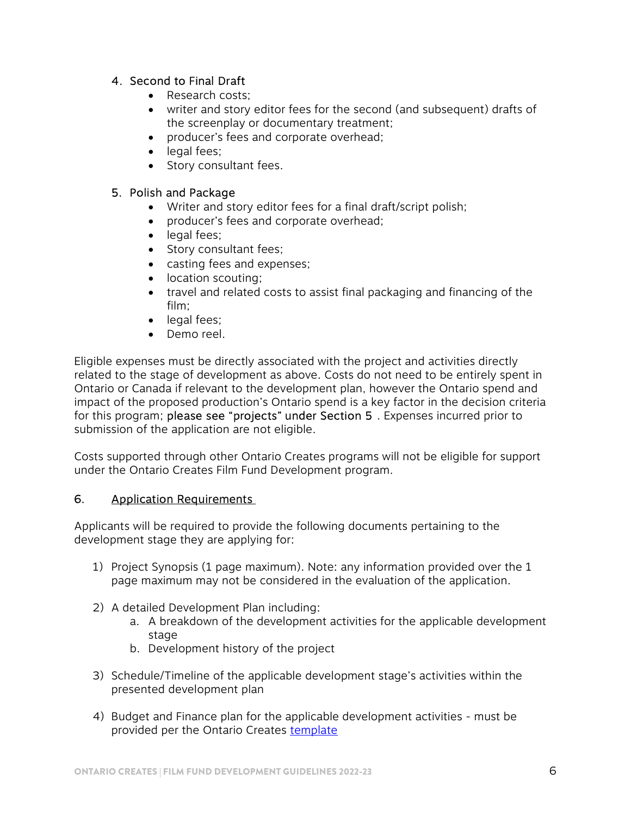#### 4. Second to Final Draft

- Research costs;
- writer and story editor fees for the second (and subsequent) drafts of the screenplay or documentary treatment;
- producer's fees and corporate overhead;
- legal fees;
- Story consultant fees.

#### 5. Polish and Package

- Writer and story editor fees for a final draft/script polish;
- producer's fees and corporate overhead;
- legal fees;
- Story consultant fees;
- casting fees and expenses;
- location scouting;
- travel and related costs to assist final packaging and financing of the film;
- legal fees;
- Demo reel.

Eligible expenses must be directly associated with the project and activities directly related to the stage of development as above. Costs do not need to be entirely spent in Ontario or Canada if relevant to the development plan, however the Ontario spend and impact of the proposed production's Ontario spend is a key factor in the decision criteria for this program; please see "projects" under Section 5. Expenses incurred prior to submission of the application are not eligible.

Costs supported through other Ontario Creates programs will not be eligible for support under the Ontario Creates Film Fund Development program.

#### 6. Application Requirements

Applicants will be required to provide the following documents pertaining to the development stage they are applying for:

- 1) Project Synopsis (1 page maximum). Note: any information provided over the 1 page maximum may not be considered in the evaluation of the application.
- 2) A detailed Development Plan including:
	- a. A breakdown of the development activities for the applicable development stage
	- b. Development history of the project
- 3) Schedule/Timeline of the applicable development stage's activities within the presented development plan
- 4) Budget and Finance plan for the applicable development activities must be provided per the Ontario Creates [template](https://ontariocreates.ca/uploads/Industry_Initiatives/ENG/Content-and-Marketing/Film-Fund/Film-Fund-Development/BudgetTemplate.xls)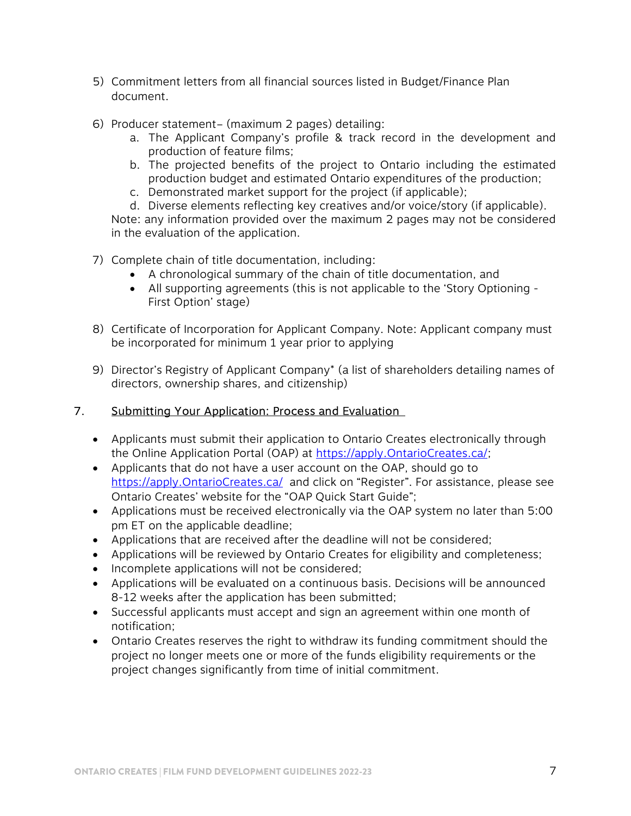- 5) Commitment letters from all financial sources listed in Budget/Finance Plan document.
- 6) Producer statement– (maximum 2 pages) detailing:
	- a. The Applicant Company's profile & track record in the development and production of feature films;
	- b. The projected benefits of the project to Ontario including the estimated production budget and estimated Ontario expenditures of the production;
	- c. Demonstrated market support for the project (if applicable);
	- d. Diverse elements reflecting key creatives and/or voice/story (if applicable).

Note: any information provided over the maximum 2 pages may not be considered in the evaluation of the application.

- 7) Complete chain of title documentation, including:
	- A chronological summary of the chain of title documentation, and
	- All supporting agreements (this is not applicable to the 'Story Optioning First Option' stage)
- 8) Certificate of Incorporation for Applicant Company. Note: Applicant company must be incorporated for minimum 1 year prior to applying
- 9) Director's Registry of Applicant Company\* (a list of shareholders detailing names of directors, ownership shares, and citizenship)

#### 7. Submitting Your Application: Process and Evaluation

- Applicants must submit their application to Ontario Creates electronically through the Online Application Portal (OAP) at https://apply.OntarioCreates.ca/;
- Applicants that do not have a user account on the OAP, should go to https://apply.OntarioCreates.ca/ and click on "Register". For assistance, please see Ontario Creates' website for the "OAP Quick Start Guide";
- Applications must be received electronically via the OAP system no later than 5:00 pm ET on the applicable deadline;
- Applications that are received after the deadline will not be considered;
- Applications will be reviewed by Ontario Creates for eligibility and completeness;
- Incomplete applications will not be considered;
- Applications will be evaluated on a continuous basis. Decisions will be announced 8-12 weeks after the application has been submitted;
- Successful applicants must accept and sign an agreement within one month of notification;
- Ontario Creates reserves the right to withdraw its funding commitment should the project no longer meets one or more of the funds eligibility requirements or the project changes significantly from time of initial commitment.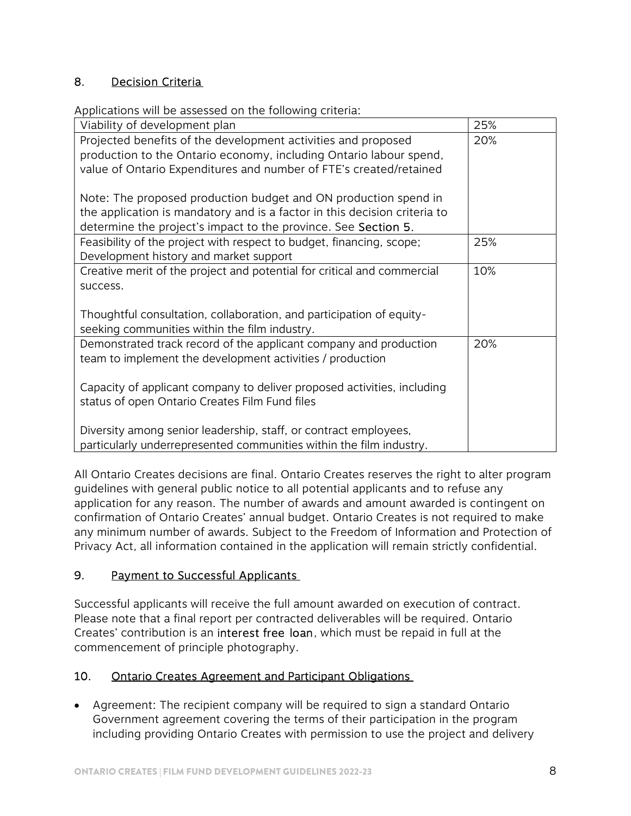## 8. Decision Criteria

Applications will be assessed on the following criteria:

| Viability of development plan                                             | 25% |
|---------------------------------------------------------------------------|-----|
| Projected benefits of the development activities and proposed             | 20% |
| production to the Ontario economy, including Ontario labour spend,        |     |
| value of Ontario Expenditures and number of FTE's created/retained        |     |
|                                                                           |     |
| Note: The proposed production budget and ON production spend in           |     |
| the application is mandatory and is a factor in this decision criteria to |     |
| determine the project's impact to the province. See Section 5.            |     |
| Feasibility of the project with respect to budget, financing, scope;      | 25% |
| Development history and market support                                    |     |
| Creative merit of the project and potential for critical and commercial   | 10% |
| success.                                                                  |     |
|                                                                           |     |
| Thoughtful consultation, collaboration, and participation of equity-      |     |
| seeking communities within the film industry.                             |     |
| Demonstrated track record of the applicant company and production         | 20% |
| team to implement the development activities / production                 |     |
|                                                                           |     |
| Capacity of applicant company to deliver proposed activities, including   |     |
| status of open Ontario Creates Film Fund files                            |     |
|                                                                           |     |
| Diversity among senior leadership, staff, or contract employees,          |     |
| particularly underrepresented communities within the film industry.       |     |

All Ontario Creates decisions are final. Ontario Creates reserves the right to alter program guidelines with general public notice to all potential applicants and to refuse any application for any reason. The number of awards and amount awarded is contingent on confirmation of Ontario Creates' annual budget. Ontario Creates is not required to make any minimum number of awards. Subject to the Freedom of Information and Protection of Privacy Act, all information contained in the application will remain strictly confidential.

## 9. Payment to Successful Applicants

Successful applicants will receive the full amount awarded on execution of contract. Please note that a final report per contracted deliverables will be required. Ontario Creates' contribution is an interest free loan, which must be repaid in full at the commencement of principle photography.

## 10. Ontario Creates Agreement and Participant Obligations

 Agreement: The recipient company will be required to sign a standard Ontario Government agreement covering the terms of their participation in the program including providing Ontario Creates with permission to use the project and delivery